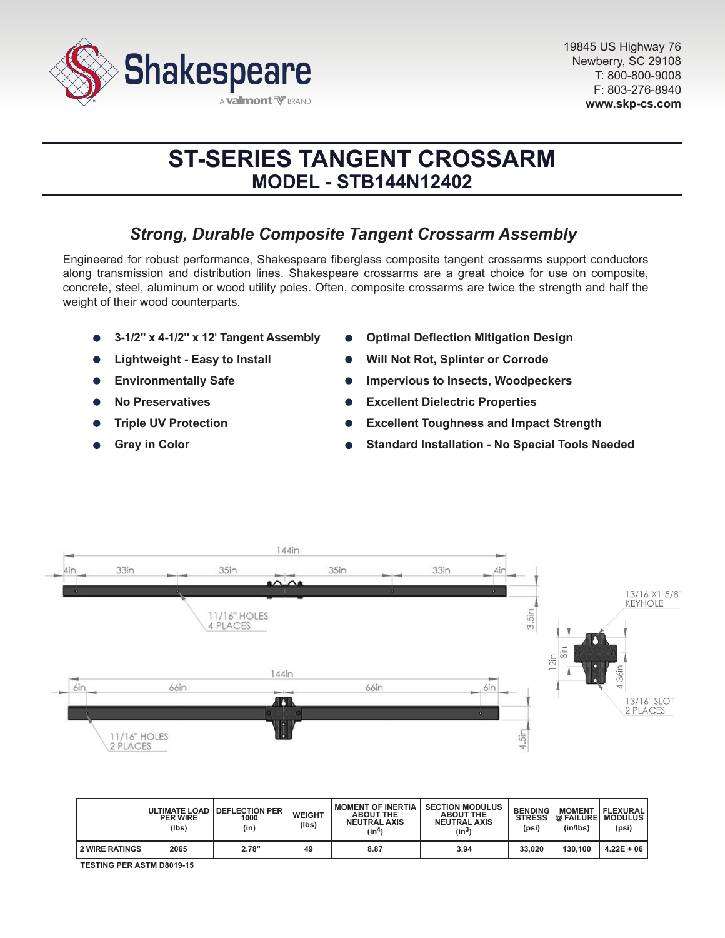

# **ST-SERIES TANGENT CROSSARM MODEL - STB144N12402**

# *Strong, Durable Composite Tangent Crossarm Assembly*

Engineered for robust performance, Shakespeare fiberglass composite tangent crossarms support conductors along transmission and distribution lines. Shakespeare crossarms are a great choice for use on composite, concrete, steel, aluminum or wood utility poles. Often, composite crossarms are twice the strength and half the weight of their wood counterparts.

- **3-1/2" x 4-1/2" x 12' Tangent Assembly**
- **Lightweight Easy to Install**
- **Environmentally Safe**
- **No Preservatives**
- **Triple UV Protection**
- **Grey in Color**
- **Optimal Deflection Mitigation Design**
- **Will Not Rot, Splinter or Corrode**
- **Impervious to Insects, Woodpeckers**
- **Excellent Dielectric Properties**
- **Excellent Toughness and Impact Strength**
- **Standard Installation No Special Tools Needed**



|                | <b>PER WIRE</b><br>(lbs) | ULTIMATE LOAD   DEFLECTION PER<br>1000<br>(in) | <b>WEIGHT</b><br>(Ibs) | <b>MOMENT OF INERTIA</b><br><b>ABOUT THE</b><br><b>NEUTRAL AXIS</b><br>(in <sup>4</sup> ) | <b>SECTION MODULUS</b><br><b>ABOUT THE</b><br><b>NEUTRAL AXIS</b><br>$(in^3)$ | <b>BENDING</b><br><b>STRESS</b><br>(psi) | <b>MOMENT</b><br><b>@ FAILURE MODULUS</b><br>(in/lbs) | <b>IFLEXURAL</b><br>(psi) |
|----------------|--------------------------|------------------------------------------------|------------------------|-------------------------------------------------------------------------------------------|-------------------------------------------------------------------------------|------------------------------------------|-------------------------------------------------------|---------------------------|
| 2 WIRE RATINGS | 2065                     | 2.78"                                          | 49                     | 8.87                                                                                      | 3.94                                                                          | 33,020                                   | 130.100                                               | $4.22E + 06$              |

**TESTING PER ASTM D8019-15**